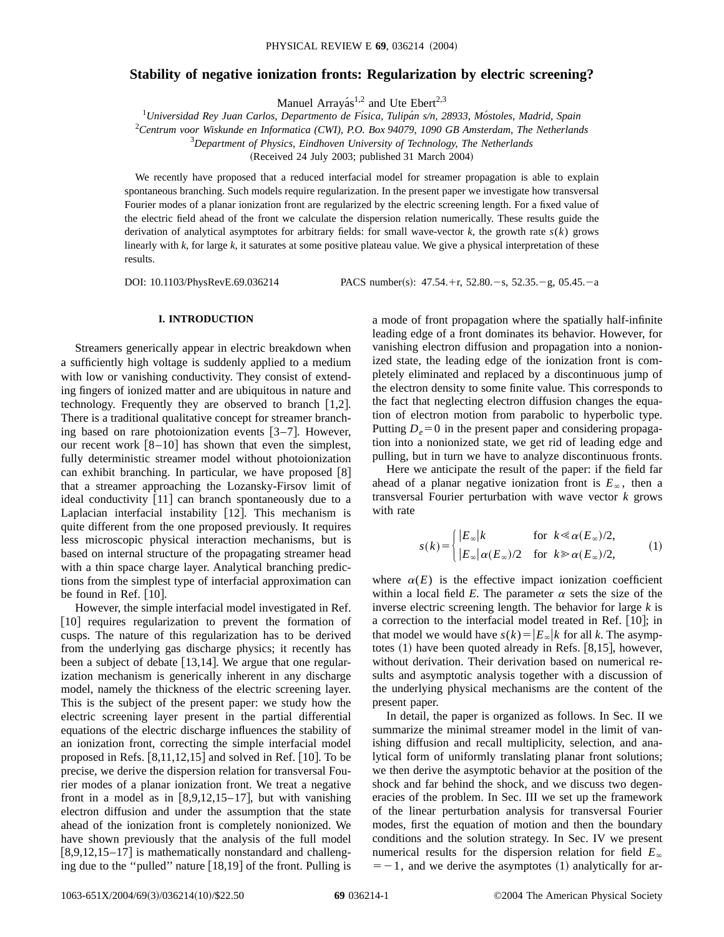# **Stability of negative ionization fronts: Regularization by electric screening?**

Manuel Arrayás<sup>1,2</sup> and Ute Ebert<sup>2,3</sup>

<sup>1</sup>*Universidad Rey Juan Carlos, Departmento de Fı´sica, Tulipa´n s/n, 28933, Mo´stoles, Madrid, Spain* <sup>2</sup>*Centrum voor Wiskunde en Informatica (CWI), P.O. Box 94079, 1090 GB Amsterdam, The Netherlands* <sup>3</sup>*Department of Physics, Eindhoven University of Technology, The Netherlands*

(Received 24 July 2003; published 31 March 2004)

We recently have proposed that a reduced interfacial model for streamer propagation is able to explain spontaneous branching. Such models require regularization. In the present paper we investigate how transversal Fourier modes of a planar ionization front are regularized by the electric screening length. For a fixed value of the electric field ahead of the front we calculate the dispersion relation numerically. These results guide the derivation of analytical asymptotes for arbitrary fields: for small wave-vector *k*, the growth rate *s*(*k*) grows linearly with *k*, for large *k*, it saturates at some positive plateau value. We give a physical interpretation of these results.

DOI: 10.1103/PhysRevE.69.036214 PACS number(s):  $47.54.+r, 52.80.-s, 52.35.-g, 05.45.-a$ 

## **I. INTRODUCTION**

Streamers generically appear in electric breakdown when a sufficiently high voltage is suddenly applied to a medium with low or vanishing conductivity. They consist of extending fingers of ionized matter and are ubiquitous in nature and technology. Frequently they are observed to branch  $[1,2]$ . There is a traditional qualitative concept for streamer branching based on rare photoionization events  $[3-7]$ . However, our recent work  $[8-10]$  has shown that even the simplest, fully deterministic streamer model without photoionization can exhibit branching. In particular, we have proposed  $[8]$ that a streamer approaching the Lozansky-Firsov limit of ideal conductivity  $[11]$  can branch spontaneously due to a Laplacian interfacial instability  $[12]$ . This mechanism is quite different from the one proposed previously. It requires less microscopic physical interaction mechanisms, but is based on internal structure of the propagating streamer head with a thin space charge layer. Analytical branching predictions from the simplest type of interfacial approximation can be found in Ref.  $[10]$ .

However, the simple interfacial model investigated in Ref. [10] requires regularization to prevent the formation of cusps. The nature of this regularization has to be derived from the underlying gas discharge physics; it recently has been a subject of debate  $[13,14]$ . We argue that one regularization mechanism is generically inherent in any discharge model, namely the thickness of the electric screening layer. This is the subject of the present paper: we study how the electric screening layer present in the partial differential equations of the electric discharge influences the stability of an ionization front, correcting the simple interfacial model proposed in Refs.  $[8,11,12,15]$  and solved in Ref.  $[10]$ . To be precise, we derive the dispersion relation for transversal Fourier modes of a planar ionization front. We treat a negative front in a model as in  $[8,9,12,15-17]$ , but with vanishing electron diffusion and under the assumption that the state ahead of the ionization front is completely nonionized. We have shown previously that the analysis of the full model  $[8,9,12,15-17]$  is mathematically nonstandard and challenging due to the "pulled" nature  $[18,19]$  of the front. Pulling is

a mode of front propagation where the spatially half-infinite leading edge of a front dominates its behavior. However, for vanishing electron diffusion and propagation into a nonionized state, the leading edge of the ionization front is completely eliminated and replaced by a discontinuous jump of the electron density to some finite value. This corresponds to the fact that neglecting electron diffusion changes the equation of electron motion from parabolic to hyperbolic type. Putting  $D_e = 0$  in the present paper and considering propagation into a nonionized state, we get rid of leading edge and pulling, but in turn we have to analyze discontinuous fronts.

Here we anticipate the result of the paper: if the field far ahead of a planar negative ionization front is  $E_\infty$ , then a transversal Fourier perturbation with wave vector *k* grows with rate

$$
s(k) = \begin{cases} |E_{\infty}|k & \text{for } k \ll \alpha(E_{\infty})/2, \\ |E_{\infty}| \alpha(E_{\infty})/2 & \text{for } k \gg \alpha(E_{\infty})/2, \end{cases}
$$
 (1)

where  $\alpha(E)$  is the effective impact ionization coefficient within a local field *E*. The parameter  $\alpha$  sets the size of the inverse electric screening length. The behavior for large *k* is a correction to the interfacial model treated in Ref.  $[10]$ ; in that model we would have  $s(k) = |E_{\infty}|k$  for all *k*. The asymptotes  $(1)$  have been quoted already in Refs.  $[8,15]$ , however, without derivation. Their derivation based on numerical results and asymptotic analysis together with a discussion of the underlying physical mechanisms are the content of the present paper.

In detail, the paper is organized as follows. In Sec. II we summarize the minimal streamer model in the limit of vanishing diffusion and recall multiplicity, selection, and analytical form of uniformly translating planar front solutions; we then derive the asymptotic behavior at the position of the shock and far behind the shock, and we discuss two degeneracies of the problem. In Sec. III we set up the framework of the linear perturbation analysis for transversal Fourier modes, first the equation of motion and then the boundary conditions and the solution strategy. In Sec. IV we present numerical results for the dispersion relation for field  $E_\infty$  $=$  -1, and we derive the asymptotes (1) analytically for ar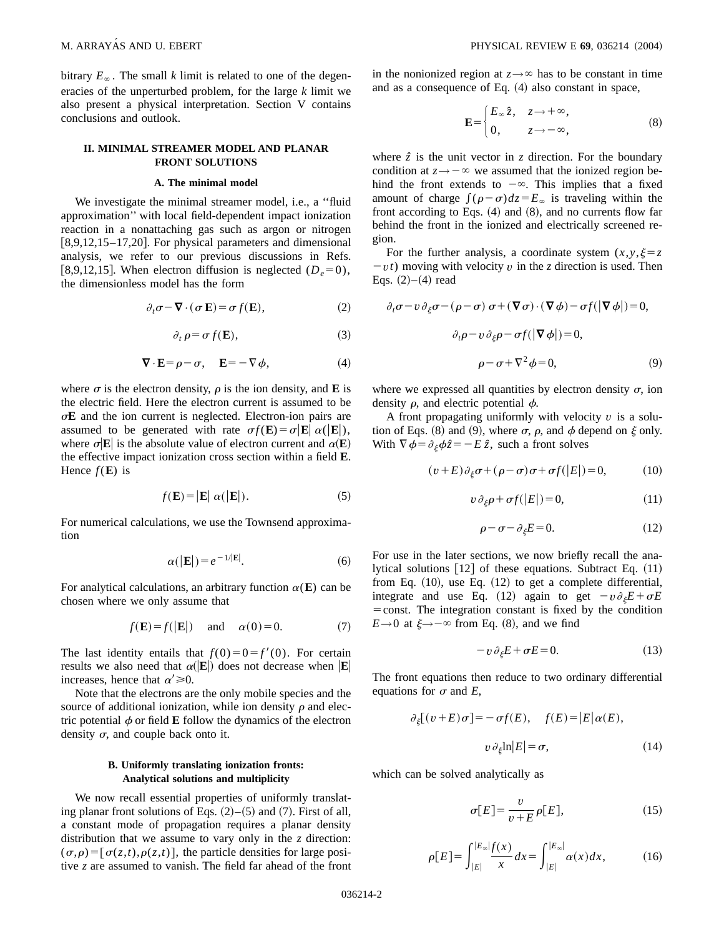bitrary  $E_\infty$ . The small *k* limit is related to one of the degeneracies of the unperturbed problem, for the large *k* limit we also present a physical interpretation. Section V contains conclusions and outlook.

## **II. MINIMAL STREAMER MODEL AND PLANAR FRONT SOLUTIONS**

### **A. The minimal model**

We investigate the minimal streamer model, i.e., a ''fluid approximation'' with local field-dependent impact ionization reaction in a nonattaching gas such as argon or nitrogen  $[8,9,12,15-17,20]$ . For physical parameters and dimensional analysis, we refer to our previous discussions in Refs. [8,9,12,15]. When electron diffusion is neglected  $(D_e=0)$ , the dimensionless model has the form

$$
\partial_t \sigma - \nabla \cdot (\sigma \mathbf{E}) = \sigma f(\mathbf{E}), \qquad (2)
$$

$$
\partial_t \rho = \sigma f(\mathbf{E}),\tag{3}
$$

$$
\nabla \cdot \mathbf{E} = \rho - \sigma, \quad \mathbf{E} = -\nabla \phi,\tag{4}
$$

where  $\sigma$  is the electron density,  $\rho$  is the ion density, and **E** is the electric field. Here the electron current is assumed to be  $\sigma$ **E** and the ion current is neglected. Electron-ion pairs are assumed to be generated with rate  $\sigma f(\mathbf{E}) = \sigma |\mathbf{E}| \alpha(|\mathbf{E}|)$ , where  $\sigma$ **E** is the absolute value of electron current and  $\alpha$ **E**) the effective impact ionization cross section within a field **E**. Hence  $f(\mathbf{E})$  is

$$
f(\mathbf{E}) = |\mathbf{E}| \alpha(|\mathbf{E}|). \tag{5}
$$

For numerical calculations, we use the Townsend approximation

$$
\alpha(|\mathbf{E}|) = e^{-1/|\mathbf{E}|}.\tag{6}
$$

For analytical calculations, an arbitrary function  $\alpha(E)$  can be chosen where we only assume that

$$
f(\mathbf{E}) = f(|\mathbf{E}|)
$$
 and  $\alpha(0) = 0.$  (7)

The last identity entails that  $f(0)=0=f'(0)$ . For certain results we also need that  $\alpha(|E|)$  does not decrease when  $|E|$ increases, hence that  $\alpha' \ge 0$ .

Note that the electrons are the only mobile species and the source of additional ionization, while ion density  $\rho$  and electric potential  $\phi$  or field **E** follow the dynamics of the electron density  $\sigma$ , and couple back onto it.

## **B. Uniformly translating ionization fronts: Analytical solutions and multiplicity**

We now recall essential properties of uniformly translating planar front solutions of Eqs.  $(2)$ – $(5)$  and  $(7)$ . First of all, a constant mode of propagation requires a planar density distribution that we assume to vary only in the *z* direction:  $(\sigma,\rho) = [\sigma(z,t),\rho(z,t)]$ , the particle densities for large positive *z* are assumed to vanish. The field far ahead of the front in the nonionized region at  $z \rightarrow \infty$  has to be constant in time and as a consequence of Eq.  $(4)$  also constant in space,

$$
\mathbf{E} = \begin{cases} E_{\infty} \hat{z}, & z \to +\infty, \\ 0, & z \to -\infty, \end{cases}
$$
 (8)

where  $\hat{z}$  is the unit vector in  $z$  direction. For the boundary condition at  $z \rightarrow -\infty$  we assumed that the ionized region behind the front extends to  $-\infty$ . This implies that a fixed amount of charge  $\int (\rho - \sigma) dz = E_\infty$  is traveling within the front according to Eqs.  $(4)$  and  $(8)$ , and no currents flow far behind the front in the ionized and electrically screened region.

For the further analysis, a coordinate system  $(x, y, \xi = z)$  $-vt$ ) moving with velocity v in the *z* direction is used. Then Eqs.  $(2)–(4)$  read

$$
\partial_t \sigma - v \partial_{\xi} \sigma - (\rho - \sigma) \sigma + (\nabla \sigma) \cdot (\nabla \phi) - \sigma f(|\nabla \phi|) = 0,
$$
  

$$
\partial_t \rho - v \partial_{\xi} \rho - \sigma f(|\nabla \phi|) = 0,
$$
  

$$
\rho - \sigma + \nabla^2 \phi = 0,
$$
 (9)

where we expressed all quantities by electron density  $\sigma$ , ion density  $\rho$ , and electric potential  $\phi$ .

A front propagating uniformly with velocity  $v$  is a solution of Eqs. (8) and (9), where  $\sigma$ ,  $\rho$ , and  $\phi$  depend on  $\xi$  only. With  $\nabla \phi = \partial_{\xi} \phi \hat{z} = -E \hat{z}$ , such a front solves

$$
(v+E)\partial_{\xi}\sigma + (\rho - \sigma)\sigma + \sigma f(|E|) = 0, \qquad (10)
$$

$$
v \,\partial_{\xi}\rho + \sigma f(|E|) = 0,\tag{11}
$$

$$
\rho - \sigma - \partial_{\xi} E = 0. \tag{12}
$$

For use in the later sections, we now briefly recall the analytical solutions  $[12]$  of these equations. Subtract Eq.  $(11)$ from Eq.  $(10)$ , use Eq.  $(12)$  to get a complete differential, integrate and use Eq. (12) again to get  $-v\partial_{\xi}E+\sigma E$  $=$  const. The integration constant is fixed by the condition  $E \rightarrow 0$  at  $\xi \rightarrow -\infty$  from Eq. (8), and we find

$$
-v \partial_{\xi} E + \sigma E = 0. \tag{13}
$$

The front equations then reduce to two ordinary differential equations for  $\sigma$  and *E*,

$$
\partial_{\xi}[(v+E)\sigma] = -\sigma f(E), \quad f(E) = |E|\alpha(E),
$$
  

$$
v \partial_{\xi} \ln|E| = \sigma,
$$
 (14)

which can be solved analytically as

$$
\sigma[E] = \frac{v}{v+E} \rho[E],\tag{15}
$$

$$
\rho[E] = \int_{|E|}^{|E_{\infty}|} \frac{f(x)}{x} dx = \int_{|E|}^{|E_{\infty}|} \alpha(x) dx, \tag{16}
$$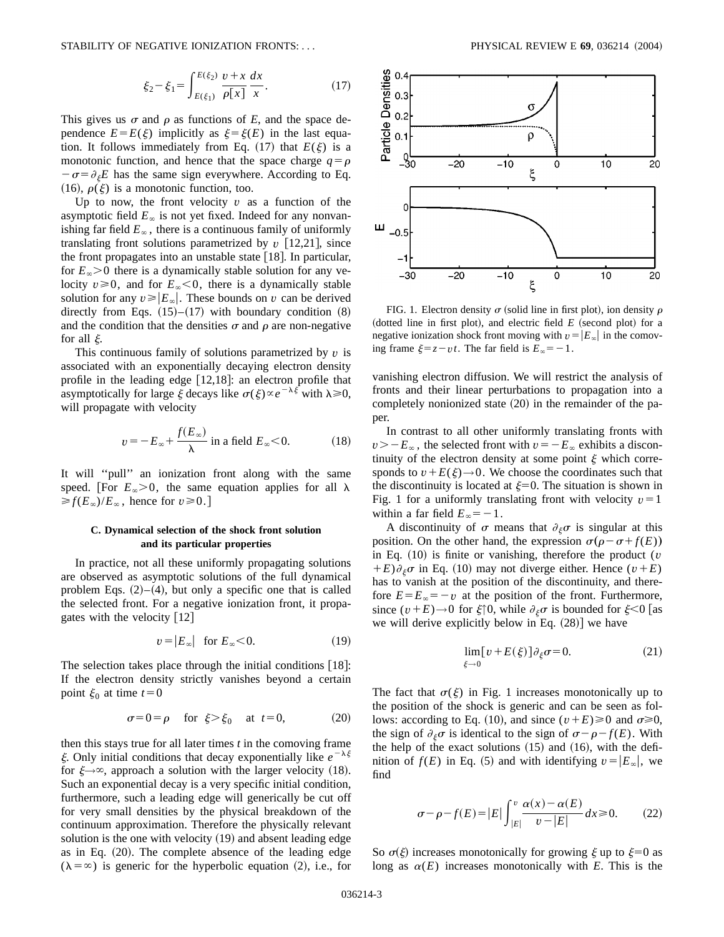$$
\xi_2 - \xi_1 = \int_{E(\xi_1)}^{E(\xi_2)} \frac{v + x}{\rho[x]} \frac{dx}{x}.
$$
 (17)

This gives us  $\sigma$  and  $\rho$  as functions of *E*, and the space dependence  $E = E(\xi)$  implicitly as  $\xi = \xi(E)$  in the last equation. It follows immediately from Eq.  $(17)$  that  $E(\xi)$  is a monotonic function, and hence that the space charge  $q = \rho$  $-\sigma = \partial_{\xi}E$  has the same sign everywhere. According to Eq. (16),  $\rho(\xi)$  is a monotonic function, too.

Up to now, the front velocity  $v$  as a function of the asymptotic field  $E_\infty$  is not yet fixed. Indeed for any nonvanishing far field  $E_\infty$ , there is a continuous family of uniformly translating front solutions parametrized by  $v$  [12,21], since the front propagates into an unstable state  $[18]$ . In particular, for  $E_\infty$ >0 there is a dynamically stable solution for any velocity  $v \ge 0$ , and for  $E_\infty < 0$ , there is a dynamically stable solution for any  $v \ge |E_\infty|$ . These bounds on v can be derived directly from Eqs.  $(15)–(17)$  with boundary condition  $(8)$ and the condition that the densities  $\sigma$  and  $\rho$  are non-negative for all  $\xi$ .

This continuous family of solutions parametrized by  $v$  is associated with an exponentially decaying electron density profile in the leading edge  $[12,18]$ : an electron profile that asymptotically for large  $\xi$  decays like  $\sigma(\xi) \propto e^{-\lambda \xi^2}$  with  $\lambda \ge 0$ , will propagate with velocity

$$
v = -E_{\infty} + \frac{f(E_{\infty})}{\lambda}
$$
 in a field  $E_{\infty} < 0$ . (18)

It will ''pull'' an ionization front along with the same speed. [For  $E_{\infty} > 0$ , the same equation applies for all  $\lambda$  $\geq f(E_{\infty})/E_{\infty}$ , hence for  $v \geq 0$ .

## **C. Dynamical selection of the shock front solution and its particular properties**

In practice, not all these uniformly propagating solutions are observed as asymptotic solutions of the full dynamical problem Eqs.  $(2)$ – $(4)$ , but only a specific one that is called the selected front. For a negative ionization front, it propagates with the velocity  $[12]$ 

$$
v = |E_{\infty}| \quad \text{for } E_{\infty} < 0. \tag{19}
$$

The selection takes place through the initial conditions  $[18]$ : If the electron density strictly vanishes beyond a certain point  $\xi_0$  at time  $t=0$ 

$$
\sigma = 0 = \rho \quad \text{for } \xi > \xi_0 \quad \text{at } t = 0,
$$
 (20)

then this stays true for all later times *t* in the comoving frame  $\xi$ . Only initial conditions that decay exponentially like  $e^{-\lambda \xi}$ for  $\xi \rightarrow \infty$ , approach a solution with the larger velocity (18). Such an exponential decay is a very specific initial condition, furthermore, such a leading edge will generically be cut off for very small densities by the physical breakdown of the continuum approximation. Therefore the physically relevant solution is the one with velocity  $(19)$  and absent leading edge as in Eq.  $(20)$ . The complete absence of the leading edge  $(\lambda = \infty)$  is generic for the hyperbolic equation (2), i.e., for



FIG. 1. Electron density  $\sigma$  (solid line in first plot), ion density  $\rho$ (dotted line in first plot), and electric field  $E$  (second plot) for a negative ionization shock front moving with  $v=|E_\infty|$  in the comoving frame  $\xi = z - vt$ . The far field is  $E_\infty = -1$ .

vanishing electron diffusion. We will restrict the analysis of fronts and their linear perturbations to propagation into a completely nonionized state  $(20)$  in the remainder of the paper.

In contrast to all other uniformly translating fronts with  $v=-E_\infty$ , the selected front with  $v=-E_\infty$  exhibits a discontinuity of the electron density at some point  $\xi$  which corresponds to  $v + E(\xi) \rightarrow 0$ . We choose the coordinates such that the discontinuity is located at  $\xi=0$ . The situation is shown in Fig. 1 for a uniformly translating front with velocity  $v=1$ within a far field  $E_\infty = -1$ .

A discontinuity of  $\sigma$  means that  $\partial_{\xi} \sigma$  is singular at this position. On the other hand, the expression  $\sigma(\rho - \sigma + f(E))$ in Eq.  $(10)$  is finite or vanishing, therefore the product (v  $+E$ ) $\partial_{\xi} \sigma$  in Eq. (10) may not diverge either. Hence ( $v+E$ ) has to vanish at the position of the discontinuity, and therefore  $E = E_\infty = -v$  at the position of the front. Furthermore, since  $(v+E) \rightarrow 0$  for  $\xi \uparrow 0$ , while  $\partial_{\xi} \sigma$  is bounded for  $\xi < 0$  [as we will derive explicitly below in Eq.  $(28)$ ] we have

$$
\lim_{\xi \to 0} [v + E(\xi)] \partial_{\xi} \sigma = 0.
$$
 (21)

The fact that  $\sigma(\xi)$  in Fig. 1 increases monotonically up to the position of the shock is generic and can be seen as follows: according to Eq. (10), and since  $(v+E) \ge 0$  and  $\sigma \ge 0$ , the sign of  $\partial_{\xi} \sigma$  is identical to the sign of  $\sigma - \rho - f(E)$ . With the help of the exact solutions  $(15)$  and  $(16)$ , with the definition of  $f(E)$  in Eq. (5) and with identifying  $v=|E_\infty|$ , we find

$$
\sigma - \rho - f(E) = |E| \int_{|E|}^{v} \frac{\alpha(x) - \alpha(E)}{v - |E|} dx \ge 0.
$$
 (22)

So  $\sigma(\xi)$  increases monotonically for growing  $\xi$  up to  $\xi=0$  as long as  $\alpha(E)$  increases monotonically with *E*. This is the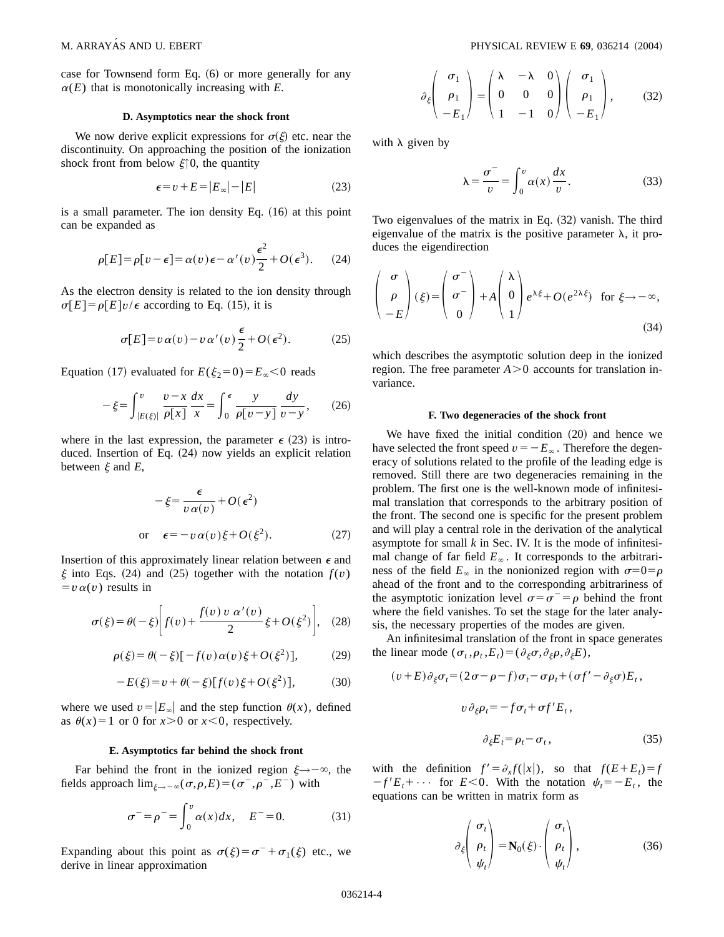case for Townsend form Eq.  $(6)$  or more generally for any  $\alpha(E)$  that is monotonically increasing with *E*.

### **D. Asymptotics near the shock front**

We now derive explicit expressions for  $\sigma(\xi)$  etc. near the discontinuity. On approaching the position of the ionization shock front from below  $\xi \uparrow 0$ , the quantity

$$
\epsilon = v + E = |E_{\infty}| - |E| \tag{23}
$$

is a small parameter. The ion density Eq.  $(16)$  at this point can be expanded as

$$
\rho[E] = \rho[v - \epsilon] = \alpha(v)\epsilon - \alpha'(v)\frac{\epsilon^2}{2} + O(\epsilon^3). \tag{24}
$$

As the electron density is related to the ion density through  $\sigma[E] = \rho[E]v/\epsilon$  according to Eq. (15), it is

$$
\sigma[E] = v \alpha(v) - v \alpha'(v) \frac{\epsilon}{2} + O(\epsilon^2). \tag{25}
$$

Equation (17) evaluated for  $E(\xi_2=0) = E_\infty < 0$  reads

$$
-\xi = \int_{|E(\xi)|}^{v} \frac{v - x}{\rho[x]} \frac{dx}{x} = \int_{0}^{\epsilon} \frac{y}{\rho[v - y]} \frac{dy}{v - y}, \qquad (26)
$$

where in the last expression, the parameter  $\epsilon$  (23) is introduced. Insertion of Eq.  $(24)$  now yields an explicit relation between  $\xi$  and  $E$ ,

$$
-\xi = \frac{\epsilon}{v \alpha(v)} + O(\epsilon^2)
$$
  
or 
$$
\epsilon = -v \alpha(v) \xi + O(\xi^2).
$$
 (27)

Insertion of this approximately linear relation between  $\epsilon$  and  $\xi$  into Eqs. (24) and (25) together with the notation  $f(v)$  $= v \alpha(v)$  results in

$$
\sigma(\xi) = \theta(-\xi) \bigg[ f(v) + \frac{f(v) v \alpha'(v)}{2} \xi + O(\xi^2) \bigg], \quad (28)
$$

$$
\rho(\xi) = \theta(-\xi)\left[-f(v)\alpha(v)\xi + O(\xi^2)\right],\tag{29}
$$

$$
-E(\xi) = v + \theta(-\xi)[f(v)\xi + O(\xi^2)],
$$
 (30)

where we used  $v=|E_\infty|$  and the step function  $\theta(x)$ , defined as  $\theta(x)=1$  or 0 for  $x>0$  or  $x<0$ , respectively.

#### **E. Asymptotics far behind the shock front**

Far behind the front in the ionized region  $\xi \rightarrow -\infty$ , the fields approach  $\lim_{\xi \to -\infty} (\sigma,\rho,E) = (\sigma^-, \rho^-, E^-)$  with

$$
\sigma^{-} = \rho^{-} = \int_{0}^{v} \alpha(x) dx, \quad E^{-} = 0.
$$
 (31)

Expanding about this point as  $\sigma(\xi) = \sigma^- + \sigma_1(\xi)$  etc., we derive in linear approximation

$$
\partial_{\xi} \begin{pmatrix} \sigma_1 \\ \rho_1 \\ -E_1 \end{pmatrix} = \begin{pmatrix} \lambda & -\lambda & 0 \\ 0 & 0 & 0 \\ 1 & -1 & 0 \end{pmatrix} \begin{pmatrix} \sigma_1 \\ \rho_1 \\ -E_1 \end{pmatrix}, \quad (32)
$$

with  $\lambda$  given by

$$
\lambda = \frac{\sigma^-}{v} = \int_0^v \alpha(x) \frac{dx}{v}.
$$
 (33)

Two eigenvalues of the matrix in Eq.  $(32)$  vanish. The third eigenvalue of the matrix is the positive parameter  $\lambda$ , it produces the eigendirection

$$
\begin{pmatrix} \sigma \\ \rho \\ -E \end{pmatrix} (\xi) = \begin{pmatrix} \sigma^- \\ \sigma^- \\ 0 \end{pmatrix} + A \begin{pmatrix} \lambda \\ 0 \\ 1 \end{pmatrix} e^{\lambda \xi} + O(e^{2\lambda \xi}) \text{ for } \xi \to -\infty,
$$
\n(34)

which describes the asymptotic solution deep in the ionized region. The free parameter  $A > 0$  accounts for translation invariance.

## **F. Two degeneracies of the shock front**

We have fixed the initial condition  $(20)$  and hence we have selected the front speed  $v=-E_\infty$ . Therefore the degeneracy of solutions related to the profile of the leading edge is removed. Still there are two degeneracies remaining in the problem. The first one is the well-known mode of infinitesimal translation that corresponds to the arbitrary position of the front. The second one is specific for the present problem and will play a central role in the derivation of the analytical asymptote for small *k* in Sec. IV. It is the mode of infinitesimal change of far field  $E_\infty$ . It corresponds to the arbitrariness of the field  $E_\infty$  in the nonionized region with  $\sigma=0=\rho$ ahead of the front and to the corresponding arbitrariness of the asymptotic ionization level  $\sigma = \sigma^- = \rho$  behind the front where the field vanishes. To set the stage for the later analysis, the necessary properties of the modes are given.

An infinitesimal translation of the front in space generates the linear mode  $(\sigma_t, \rho_t, E_t) = (\partial_{\xi} \sigma, \partial_{\xi} \rho, \partial_{\xi} E)$ ,

$$
(v+E)\partial_{\xi}\sigma_{t} = (2\sigma - \rho - f)\sigma_{t} - \sigma\rho_{t} + (\sigma f' - \partial_{\xi}\sigma)E_{t},
$$

$$
v\partial_{\xi}\rho_{t} = -f\sigma_{t} + \sigma f'E_{t},
$$

$$
\partial_{\xi} E_t = \rho_t - \sigma_t, \qquad (35)
$$

with the definition  $f' = \partial_x f(|x|)$ , so that  $f(E + E_t) = f$  $-f'E_t + \cdots$  for  $E < 0$ . With the notation  $\psi_t = -E_t$ , the equations can be written in matrix form as

$$
\partial_{\xi} \begin{pmatrix} \sigma_t \\ \rho_t \\ \psi_t \end{pmatrix} = \mathbf{N}_0(\xi) \cdot \begin{pmatrix} \sigma_t \\ \rho_t \\ \psi_t \end{pmatrix}, \tag{36}
$$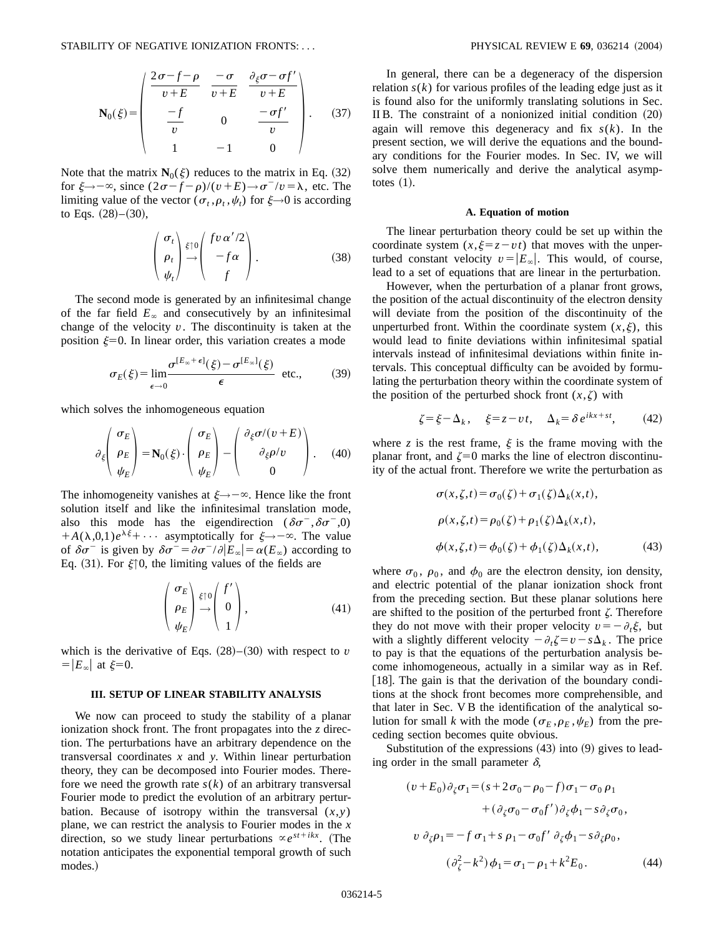$$
\mathbf{N}_0(\xi) = \begin{pmatrix} \frac{2\sigma - f - \rho}{v + E} & \frac{-\sigma}{v + E} & \frac{\partial_{\xi}\sigma - \sigma f'}{v + E} \\ -\frac{-f}{v} & 0 & \frac{-\sigma f'}{v} \\ 1 & -1 & 0 \end{pmatrix}.
$$
 (37)

Note that the matrix  $N_0(\xi)$  reduces to the matrix in Eq. (32) for  $\xi \rightarrow -\infty$ , since  $(2\sigma - f - \rho)/(v + E) \rightarrow \sigma - v = \lambda$ , etc. The limiting value of the vector ( $\sigma_t$ , $\rho_t$ , $\psi_t$ ) for  $\xi \to 0$  is according to Eqs.  $(28)–(30)$ ,

$$
\begin{pmatrix} \sigma_t \\ \rho_t \\ \psi_t \end{pmatrix} \stackrel{\xi \uparrow 0}{\rightarrow} \begin{pmatrix} f v \, \alpha'/2 \\ -f \, \alpha \\ f \end{pmatrix} . \tag{38}
$$

The second mode is generated by an infinitesimal change of the far field  $E_\infty$  and consecutively by an infinitesimal change of the velocity  $v$ . The discontinuity is taken at the position  $\xi=0$ . In linear order, this variation creates a mode

$$
\sigma_E(\xi) = \lim_{\epsilon \to 0} \frac{\sigma^{[E_{\infty} + \epsilon]}(\xi) - \sigma^{[E_{\infty}]}(\xi)}{\epsilon} \text{ etc.,}
$$
 (39)

which solves the inhomogeneous equation

$$
\partial_{\xi} \begin{pmatrix} \sigma_E \\ \rho_E \\ \psi_E \end{pmatrix} = \mathbf{N}_0(\xi) \cdot \begin{pmatrix} \sigma_E \\ \rho_E \\ \psi_E \end{pmatrix} - \begin{pmatrix} \partial_{\xi} \sigma/(v+E) \\ \partial_{\xi} \rho/v \\ 0 \end{pmatrix} . \quad (40)
$$

The inhomogeneity vanishes at  $\xi \rightarrow -\infty$ . Hence like the front solution itself and like the infinitesimal translation mode, also this mode has the eigendirection  $(\delta \sigma^-, \delta \sigma^-, 0)$  $+A(\lambda,0,1)e^{\lambda\xi}+\cdots$  asymptotically for  $\xi \rightarrow -\infty$ . The value of  $\delta \sigma^-$  is given by  $\delta \sigma^- = \partial \sigma^- / \partial |\dot{E}_\infty| = \alpha(E_\infty)$  according to Eq. (31). For  $\xi \uparrow 0$ , the limiting values of the fields are

$$
\begin{pmatrix} \sigma_E \\ \rho_E \\ \psi_E \end{pmatrix} \stackrel{\xi \uparrow 0}{\rightarrow} \begin{pmatrix} f' \\ 0 \\ 1 \end{pmatrix}, \tag{41}
$$

which is the derivative of Eqs.  $(28)–(30)$  with respect to v  $= |E_{\infty}|$  at  $\xi=0$ .

## **III. SETUP OF LINEAR STABILITY ANALYSIS**

We now can proceed to study the stability of a planar ionization shock front. The front propagates into the *z* direction. The perturbations have an arbitrary dependence on the transversal coordinates *x* and *y*. Within linear perturbation theory, they can be decomposed into Fourier modes. Therefore we need the growth rate  $s(k)$  of an arbitrary transversal Fourier mode to predict the evolution of an arbitrary perturbation. Because of isotropy within the transversal  $(x, y)$ plane, we can restrict the analysis to Fourier modes in the *x* direction, so we study linear perturbations  $\propto e^{st+ikx}$ . (The notation anticipates the exponential temporal growth of such modes.)

In general, there can be a degeneracy of the dispersion relation  $s(k)$  for various profiles of the leading edge just as it is found also for the uniformly translating solutions in Sec. II B. The constraint of a nonionized initial condition  $(20)$ again will remove this degeneracy and fix *s*(*k*). In the present section, we will derive the equations and the boundary conditions for the Fourier modes. In Sec. IV, we will solve them numerically and derive the analytical asymptotes  $(1)$ .

#### **A. Equation of motion**

The linear perturbation theory could be set up within the coordinate system  $(x, \xi = z - vt)$  that moves with the unperturbed constant velocity  $v=|E_\infty|$ . This would, of course, lead to a set of equations that are linear in the perturbation.

However, when the perturbation of a planar front grows, the position of the actual discontinuity of the electron density will deviate from the position of the discontinuity of the unperturbed front. Within the coordinate system  $(x,\xi)$ , this would lead to finite deviations within infinitesimal spatial intervals instead of infinitesimal deviations within finite intervals. This conceptual difficulty can be avoided by formulating the perturbation theory within the coordinate system of the position of the perturbed shock front  $(x, \zeta)$  with

$$
\zeta = \xi - \Delta_k, \quad \xi = z - vt, \quad \Delta_k = \delta e^{ikx + st}, \quad (42)
$$

where  $z$  is the rest frame,  $\xi$  is the frame moving with the planar front, and  $\zeta=0$  marks the line of electron discontinuity of the actual front. Therefore we write the perturbation as

$$
\sigma(x,\zeta,t) = \sigma_0(\zeta) + \sigma_1(\zeta)\Delta_k(x,t),
$$
  
\n
$$
\rho(x,\zeta,t) = \rho_0(\zeta) + \rho_1(\zeta)\Delta_k(x,t),
$$
  
\n
$$
\phi(x,\zeta,t) = \phi_0(\zeta) + \phi_1(\zeta)\Delta_k(x,t),
$$
\n(43)

where  $\sigma_0$ ,  $\rho_0$ , and  $\phi_0$  are the electron density, ion density, and electric potential of the planar ionization shock front from the preceding section. But these planar solutions here are shifted to the position of the perturbed front  $\zeta$ . Therefore they do not move with their proper velocity  $v=-\partial_t \xi$ , but with a slightly different velocity  $-\partial_t \zeta = v - s \Delta_k$ . The price to pay is that the equations of the perturbation analysis become inhomogeneous, actually in a similar way as in Ref. [18]. The gain is that the derivation of the boundary conditions at the shock front becomes more comprehensible, and that later in Sec. V B the identification of the analytical solution for small *k* with the mode ( $\sigma_E$ , $\rho_E$ , $\psi_E$ ) from the preceding section becomes quite obvious.

Substitution of the expressions  $(43)$  into  $(9)$  gives to leading order in the small parameter  $\delta$ ,

$$
(v+E_0)\partial_{\zeta}\sigma_1 = (s+2\sigma_0-\rho_0-f)\sigma_1-\sigma_0\rho_1 + (\partial_{\zeta}\sigma_0-\sigma_0f')\partial_{\zeta}\phi_1 - s\partial_{\zeta}\sigma_0,
$$
  

$$
v \partial_{\zeta}\rho_1 = -f \sigma_1 + s \rho_1 - \sigma_0f' \partial_{\zeta}\phi_1 - s\partial_{\zeta}\rho_0,
$$
  

$$
(\partial_{\zeta}^2 - k^2)\phi_1 = \sigma_1 - \rho_1 + k^2 E_0.
$$
 (44)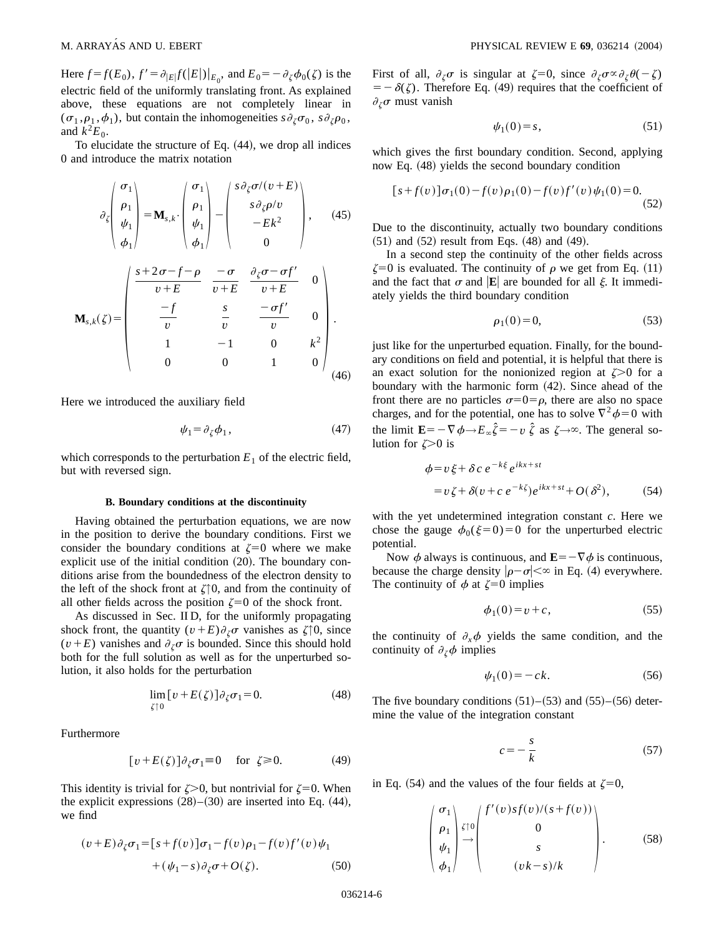Here  $f = f(E_0)$ ,  $f' = \partial_{|E|} f(|E|)|_{E_0}$ , and  $E_0 = -\partial_{\zeta} \phi_0(\zeta)$  is the electric field of the uniformly translating front. As explained above, these equations are not completely linear in  $(\sigma_1, \rho_1, \phi_1)$ , but contain the inhomogeneities  $s \partial_{\zeta} \sigma_0$ ,  $s \partial_{\zeta} \rho_0$ , and  $k^2E_0$ .

To elucidate the structure of Eq.  $(44)$ , we drop all indices 0 and introduce the matrix notation

$$
\partial_{\zeta} \begin{pmatrix} \sigma_{1} \\ \rho_{1} \\ \psi_{1} \\ \phi_{1} \end{pmatrix} = \mathbf{M}_{s,k} \cdot \begin{pmatrix} \sigma_{1} \\ \rho_{1} \\ \psi_{1} \\ \phi_{1} \end{pmatrix} - \begin{pmatrix} s \partial_{\zeta} \sigma / (v + E) \\ s \partial_{\zeta} \rho / v \\ - E k^{2} \\ 0 \end{pmatrix}, \quad (45)
$$

$$
\mathbf{M}_{s,k}(\zeta) = \begin{pmatrix} \frac{s + 2\sigma - f - \rho}{v + E} & \frac{-\sigma}{v + E} & \frac{\partial_{\zeta} \sigma - \sigma f'}{v + E} & 0 \\ -\frac{-f}{v} & \frac{s}{v} & \frac{-\sigma f'}{v} \\ 1 & -1 & 0 & k^{2} \\ 0 & 0 & 1 & 0 \end{pmatrix} . \quad (46)
$$

Here we introduced the auxiliary field

$$
\psi_1 = \partial_{\zeta} \phi_1, \tag{47}
$$

which corresponds to the perturbation  $E_1$  of the electric field, but with reversed sign.

#### **B. Boundary conditions at the discontinuity**

Having obtained the perturbation equations, we are now in the position to derive the boundary conditions. First we consider the boundary conditions at  $\zeta=0$  where we make explicit use of the initial condition  $(20)$ . The boundary conditions arise from the boundedness of the electron density to the left of the shock front at  $\zeta$ <sup> $\uparrow$ 0, and from the continuity of</sup> all other fields across the position  $\zeta=0$  of the shock front.

As discussed in Sec. II D, for the uniformly propagating shock front, the quantity  $(v+E)\partial_{\zeta}\sigma$  vanishes as  $\zeta\uparrow0$ , since  $(v+E)$  vanishes and  $\partial_{\zeta}\sigma$  is bounded. Since this should hold both for the full solution as well as for the unperturbed solution, it also holds for the perturbation

$$
\lim_{\zeta \uparrow 0} \left[ \nu + E(\zeta) \right] \partial_{\zeta} \sigma_1 = 0. \tag{48}
$$

Furthermore

$$
[v + E(\zeta)]\partial_{\zeta}\sigma_1 \equiv 0 \quad \text{for } \zeta \ge 0. \tag{49}
$$

This identity is trivial for  $\zeta > 0$ , but nontrivial for  $\zeta = 0$ . When the explicit expressions  $(28)–(30)$  are inserted into Eq.  $(44)$ , we find

$$
(v+E)\partial_{\zeta}\sigma_1 = [s+f(v)]\sigma_1 - f(v)\rho_1 - f(v)f'(v)\psi_1
$$
  
+ 
$$
(\psi_1 - s)\partial_{\zeta}\sigma + O(\zeta).
$$
 (50)

First of all,  $\partial_{\zeta}\sigma$  is singular at  $\zeta=0$ , since  $\partial_{\zeta}\sigma \propto \partial_{\zeta}\theta(-\zeta)$  $= -\delta(\zeta)$ . Therefore Eq. (49) requires that the coefficient of  $\partial_{\zeta}\sigma$  must vanish

$$
\psi_1(0) = s,\tag{51}
$$

which gives the first boundary condition. Second, applying now Eq.  $(48)$  yields the second boundary condition

$$
[s+f(v)]\sigma_1(0)-f(v)\rho_1(0)-f(v)f'(v)\psi_1(0)=0.
$$
\n(52)

Due to the discontinuity, actually two boundary conditions  $(51)$  and  $(52)$  result from Eqs.  $(48)$  and  $(49)$ .

In a second step the continuity of the other fields across  $\zeta=0$  is evaluated. The continuity of  $\rho$  we get from Eq. (11) and the fact that  $\sigma$  and **E** are bounded for all  $\xi$ . It immediately yields the third boundary condition

$$
\rho_1(0) = 0,\tag{53}
$$

just like for the unperturbed equation. Finally, for the boundary conditions on field and potential, it is helpful that there is an exact solution for the nonionized region at  $\zeta > 0$  for a boundary with the harmonic form  $(42)$ . Since ahead of the front there are no particles  $\sigma=0=\rho$ , there are also no space charges, and for the potential, one has to solve  $\nabla^2 \phi = 0$  with the limit  $\mathbf{E}=-\nabla\phi\rightarrow E_{\infty}\hat{\zeta}=-v\hat{\zeta}$  as  $\zeta\rightarrow\infty$ . The general solution for  $\zeta > 0$  is

$$
\phi = v \xi + \delta c e^{-k\xi} e^{ikx + st}
$$
  
=  $v \zeta + \delta(v + c e^{-k\zeta}) e^{ikx + st} + O(\delta^2),$  (54)

with the yet undetermined integration constant *c*. Here we chose the gauge  $\phi_0(\xi=0)=0$  for the unperturbed electric potential.

Now  $\phi$  always is continuous, and  $\mathbf{E}=-\nabla \phi$  is continuous, because the charge density  $|\rho-\sigma| < \infty$  in Eq. (4) everywhere. The continuity of  $\phi$  at  $\zeta=0$  implies

$$
\phi_1(0) = v + c,\tag{55}
$$

the continuity of  $\partial_x \phi$  yields the same condition, and the continuity of  $\partial_{\zeta} \phi$  implies

$$
\psi_1(0) = -ck.\tag{56}
$$

The five boundary conditions  $(51)–(53)$  and  $(55)–(56)$  determine the value of the integration constant

$$
c = -\frac{s}{k} \tag{57}
$$

in Eq. (54) and the values of the four fields at  $\zeta=0$ ,

$$
\begin{pmatrix}\n\sigma_1 \\
\rho_1 \\
\psi_1 \\
\phi_1\n\end{pmatrix} \stackrel{\zeta \uparrow 0}{\rightarrow} \begin{pmatrix}\nf'(v)sf(v)/(s+f(v)) \\
0 \\
s \\
(vk-s)/k\n\end{pmatrix} .
$$
\n(58)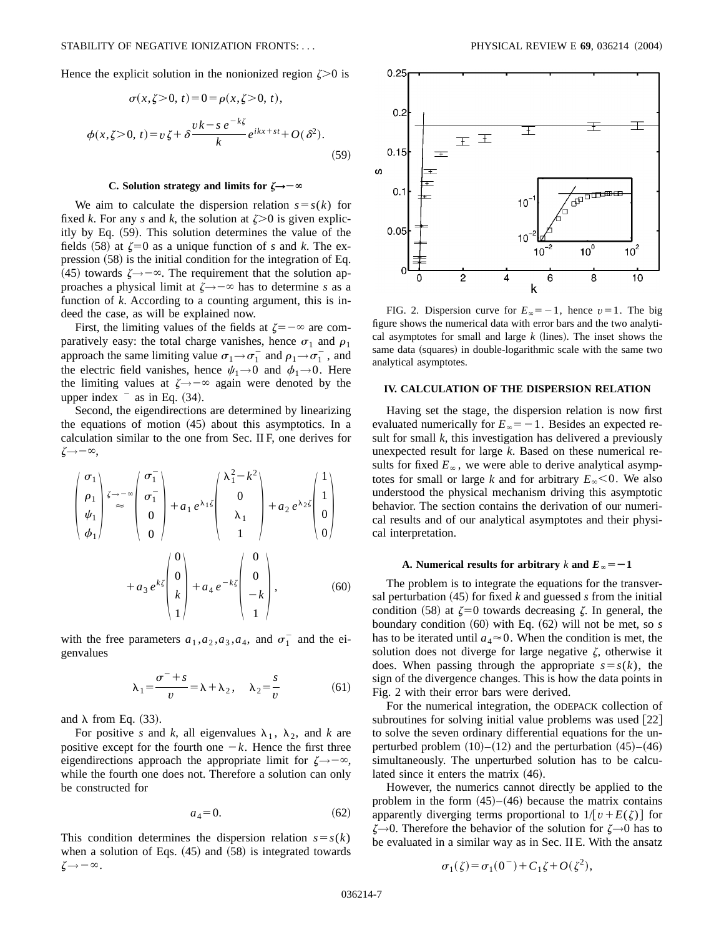Hence the explicit solution in the nonionized region  $\zeta > 0$  is

$$
\sigma(x,\zeta>0,\,t)=0=\rho(x,\zeta>0,\,t),
$$

$$
\phi(x,\zeta>0,\,t)=v\,\zeta+\delta\frac{vk-s\,e^{-k\zeta}}{k}e^{ikx+st}+O(\delta^2).
$$
\n(59)

#### **C.** Solution strategy and limits for  $\zeta \rightarrow -\infty$

We aim to calculate the dispersion relation  $s = s(k)$  for fixed *k*. For any *s* and *k*, the solution at  $\zeta > 0$  is given explicitly by Eq.  $(59)$ . This solution determines the value of the fields  $(58)$  at  $\zeta=0$  as a unique function of *s* and *k*. The expression  $(58)$  is the initial condition for the integration of Eq. (45) towards  $\zeta \rightarrow -\infty$ . The requirement that the solution approaches a physical limit at  $\zeta \rightarrow -\infty$  has to determine *s* as a function of *k*. According to a counting argument, this is indeed the case, as will be explained now.

First, the limiting values of the fields at  $\zeta = -\infty$  are comparatively easy: the total charge vanishes, hence  $\sigma_1$  and  $\rho_1$ approach the same limiting value  $\sigma_1 \rightarrow \sigma_1^-$  and  $\rho_1 \rightarrow \sigma_1^-$ , and the electric field vanishes, hence  $\psi_1\rightarrow 0$  and  $\phi_1\rightarrow 0$ . Here the limiting values at  $\zeta \rightarrow -\infty$  again were denoted by the upper index  $\overline{\phantom{a}}$  as in Eq. (34).

Second, the eigendirections are determined by linearizing the equations of motion  $(45)$  about this asymptotics. In a calculation similar to the one from Sec. II F, one derives for  $\zeta \rightarrow -\infty$ ,

$$
\begin{pmatrix}\n\sigma_1 \\
\rho_1 \\
\psi_1 \\
\phi_1\n\end{pmatrix} \stackrel{\zeta \to -\infty}{\approx} \begin{pmatrix}\n\sigma_1^- \\
\sigma_1^- \\
0\\0\n\end{pmatrix} + a_1 e^{\lambda_1 \zeta} \begin{pmatrix}\n\lambda_1^2 - k^2 \\
0\\ \lambda_1\\1\n\end{pmatrix} + a_2 e^{\lambda_2 \zeta} \begin{pmatrix}\n1 \\
1\\0\\0\n\end{pmatrix} + a_3 e^{\kappa \zeta} \begin{pmatrix}\n0 \\
0\\k\\1\n\end{pmatrix} + a_4 e^{-k \zeta} \begin{pmatrix}\n0 \\
0\\-k\\1\n\end{pmatrix},
$$
\n(60)

with the free parameters  $a_1, a_2, a_3, a_4$ , and  $\sigma_1^-$  and the eigenvalues

$$
\lambda_1 = \frac{\sigma^- + s}{v} = \lambda + \lambda_2, \quad \lambda_2 = \frac{s}{v} \tag{61}
$$

and  $\lambda$  from Eq. (33).

For positive *s* and *k*, all eigenvalues  $\lambda_1$ ,  $\lambda_2$ , and *k* are positive except for the fourth one  $-k$ . Hence the first three eigendirections approach the appropriate limit for  $\zeta \rightarrow -\infty$ , while the fourth one does not. Therefore a solution can only be constructed for

$$
a_4 = 0.\t\t(62)
$$

This condition determines the dispersion relation  $s = s(k)$ when a solution of Eqs.  $(45)$  and  $(58)$  is integrated towards  $\zeta \rightarrow -\infty$ .



FIG. 2. Dispersion curve for  $E_\infty = -1$ , hence  $v = 1$ . The big figure shows the numerical data with error bars and the two analytical asymptotes for small and large  $k$  (lines). The inset shows the same data (squares) in double-logarithmic scale with the same two analytical asymptotes.

## **IV. CALCULATION OF THE DISPERSION RELATION**

Having set the stage, the dispersion relation is now first evaluated numerically for  $E_\infty = -1$ . Besides an expected result for small *k*, this investigation has delivered a previously unexpected result for large *k*. Based on these numerical results for fixed  $E_\infty$ , we were able to derive analytical asymptotes for small or large *k* and for arbitrary  $E_{\infty}$  < 0. We also understood the physical mechanism driving this asymptotic behavior. The section contains the derivation of our numerical results and of our analytical asymptotes and their physical interpretation.

### **A. Numerical results for arbitrary** *k* and  $E_* = -1$

The problem is to integrate the equations for the transversal perturbation  $(45)$  for fixed *k* and guessed *s* from the initial condition (58) at  $\zeta=0$  towards decreasing  $\zeta$ . In general, the boundary condition  $(60)$  with Eq.  $(62)$  will not be met, so *s* has to be iterated until  $a_4 \approx 0$ . When the condition is met, the solution does not diverge for large negative  $\zeta$ , otherwise it does. When passing through the appropriate  $s = s(k)$ , the sign of the divergence changes. This is how the data points in Fig. 2 with their error bars were derived.

For the numerical integration, the ODEPACK collection of subroutines for solving initial value problems was used  $[22]$ to solve the seven ordinary differential equations for the unperturbed problem  $(10)–(12)$  and the perturbation  $(45)–(46)$ simultaneously. The unperturbed solution has to be calculated since it enters the matrix  $(46)$ .

However, the numerics cannot directly be applied to the problem in the form  $(45)–(46)$  because the matrix contains apparently diverging terms proportional to  $1/[v + E(\zeta)]$  for  $\zeta \rightarrow 0$ . Therefore the behavior of the solution for  $\zeta \rightarrow 0$  has to be evaluated in a similar way as in Sec. II E. With the ansatz

$$
\sigma_1(\zeta) = \sigma_1(0^-) + C_1\zeta + O(\zeta^2),
$$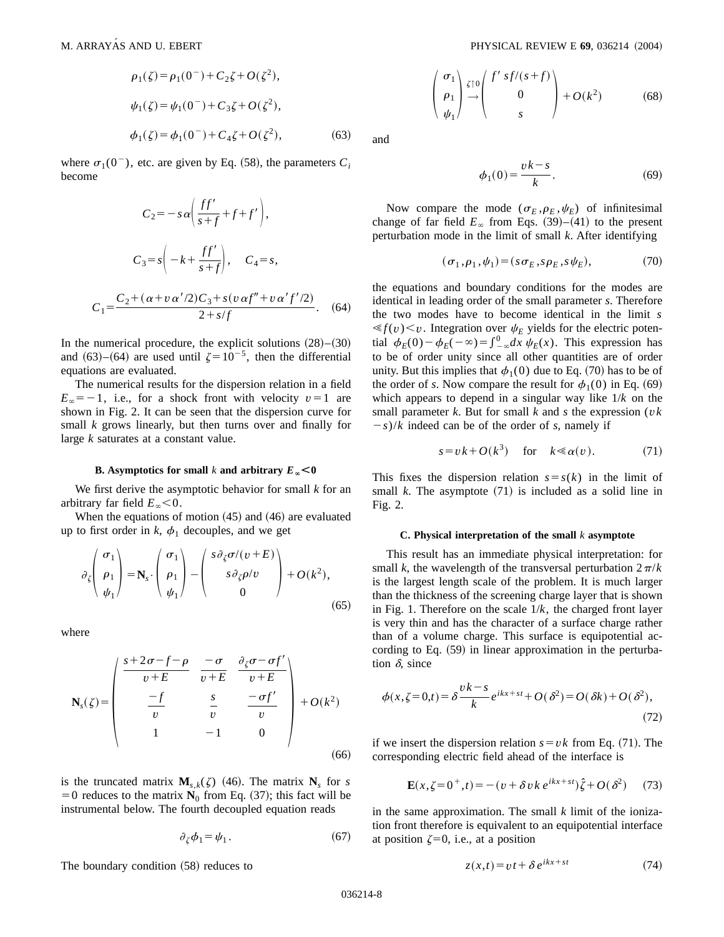$C<sub>1</sub>$ 

$$
\rho_1(\zeta) = \rho_1(0^-) + C_2\zeta + O(\zeta^2),
$$
  
\n
$$
\psi_1(\zeta) = \psi_1(0^-) + C_3\zeta + O(\zeta^2),
$$
  
\n
$$
\phi_1(\zeta) = \phi_1(0^-) + C_4\zeta + O(\zeta^2),
$$
\n(63)

where  $\sigma_1(0^-)$ , etc. are given by Eq. (58), the parameters  $C_i$ become

$$
C_2 = -s\alpha \left(\frac{ff'}{s+f} + f + f'\right),
$$
  
\n
$$
C_3 = s \left(-k + \frac{ff'}{s+f}\right), \quad C_4 = s,
$$
  
\n
$$
= \frac{C_2 + (\alpha + v\alpha'/2)C_3 + s(v\alpha f'' + v\alpha' f'/2)}{2 + s/f}.
$$
 (64)

In the numerical procedure, the explicit solutions  $(28)–(30)$ and (63)–(64) are used until  $\zeta = 10^{-5}$ , then the differential equations are evaluated.

The numerical results for the dispersion relation in a field  $E_{\infty}$ = -1, i.e., for a shock front with velocity v=1 are shown in Fig. 2. It can be seen that the dispersion curve for small *k* grows linearly, but then turns over and finally for large *k* saturates at a constant value.

### **B. Asymptotics** for small *k* and arbitrary  $E_* < 0$

We first derive the asymptotic behavior for small *k* for an arbitrary far field  $E_{\infty}$  < 0.

When the equations of motion  $(45)$  and  $(46)$  are evaluated up to first order in  $k$ ,  $\phi_1$  decouples, and we get

$$
\partial_{\zeta} \begin{pmatrix} \sigma_1 \\ \rho_1 \\ \psi_1 \end{pmatrix} = \mathbf{N}_s \cdot \begin{pmatrix} \sigma_1 \\ \rho_1 \\ \psi_1 \end{pmatrix} - \begin{pmatrix} s \partial_{\zeta} \sigma / (v + E) \\ s \partial_{\zeta} \rho / v \\ 0 \end{pmatrix} + O(k^2), \tag{65}
$$

where

$$
\mathbf{N}_s(\zeta) = \begin{pmatrix} \frac{s+2\sigma-f-\rho}{v+E} & \frac{-\sigma}{v+E} & \frac{\partial_{\zeta}\sigma-\sigma f'}{v+E} \\ \frac{-f}{v} & \frac{s}{v} & \frac{-\sigma f'}{v} \\ 1 & -1 & 0 \end{pmatrix} + O(k^2)
$$
(66)

is the truncated matrix  $\mathbf{M}_{s,k}(\zeta)$  (46). The matrix  $\mathbf{N}_s$  for *s*  $=0$  reduces to the matrix  $\mathbf{N}_0$  from Eq. (37); this fact will be instrumental below. The fourth decoupled equation reads

$$
\partial_{\zeta}\phi_1 = \psi_1. \tag{67}
$$

The boundary condition  $(58)$  reduces to

$$
\begin{pmatrix} \sigma_1 \\ \rho_1 \\ \psi_1 \end{pmatrix} \stackrel{\zeta \uparrow 0}{\rightarrow} \begin{pmatrix} f' \ s f/(s+f) \\ 0 \\ s \end{pmatrix} + O(k^2) \tag{68}
$$

and

$$
\phi_1(0) = \frac{vk - s}{k}.\tag{69}
$$

Now compare the mode  $(\sigma_E, \rho_E, \psi_E)$  of infinitesimal change of far field  $E_\infty$  from Eqs. (39)–(41) to the present perturbation mode in the limit of small *k*. After identifying

$$
(\sigma_1, \rho_1, \psi_1) = (s \sigma_E, s \rho_E, s \psi_E), \tag{70}
$$

the equations and boundary conditions for the modes are identical in leading order of the small parameter *s*. Therefore the two modes have to become identical in the limit *s*  $\ll f(v) \ll v$ . Integration over  $\psi_E$  yields for the electric potential  $\phi_E(0) - \phi_E(-\infty) = \int_{-\infty}^0 dx \psi_E(x)$ . This expression has to be of order unity since all other quantities are of order unity. But this implies that  $\phi_1(0)$  due to Eq. (70) has to be of the order of *s*. Now compare the result for  $\phi_1(0)$  in Eq. (69) which appears to depend in a singular way like 1/*k* on the small parameter  $k$ . But for small  $k$  and  $s$  the expression ( $vk$ )  $(-s)/k$  indeed can be of the order of *s*, namely if

$$
s = vk + O(k^3) \quad \text{for} \quad k \ll \alpha(v). \tag{71}
$$

This fixes the dispersion relation  $s = s(k)$  in the limit of small  $k$ . The asymptote  $(71)$  is included as a solid line in Fig. 2.

### **C. Physical interpretation of the small** *k* **asymptote**

This result has an immediate physical interpretation: for small *k*, the wavelength of the transversal perturbation  $2\pi/k$ is the largest length scale of the problem. It is much larger than the thickness of the screening charge layer that is shown in Fig. 1. Therefore on the scale 1/*k*, the charged front layer is very thin and has the character of a surface charge rather than of a volume charge. This surface is equipotential according to Eq.  $(59)$  in linear approximation in the perturbation  $\delta$ , since

$$
\phi(x,\zeta=0,t) = \delta \frac{vk - s}{k} e^{ikx + st} + O(\delta^2) = O(\delta k) + O(\delta^2),\tag{72}
$$

if we insert the dispersion relation  $s = v k$  from Eq. (71). The corresponding electric field ahead of the interface is

$$
\mathbf{E}(x,\zeta=0^+,t) = -(v + \delta v k \, e^{ikx+st})\hat{\zeta} + O(\delta^2) \tag{73}
$$

in the same approximation. The small *k* limit of the ionization front therefore is equivalent to an equipotential interface at position  $\zeta=0$ , i.e., at a position

$$
z(x,t) = vt + \delta e^{ikx + st}
$$
 (74)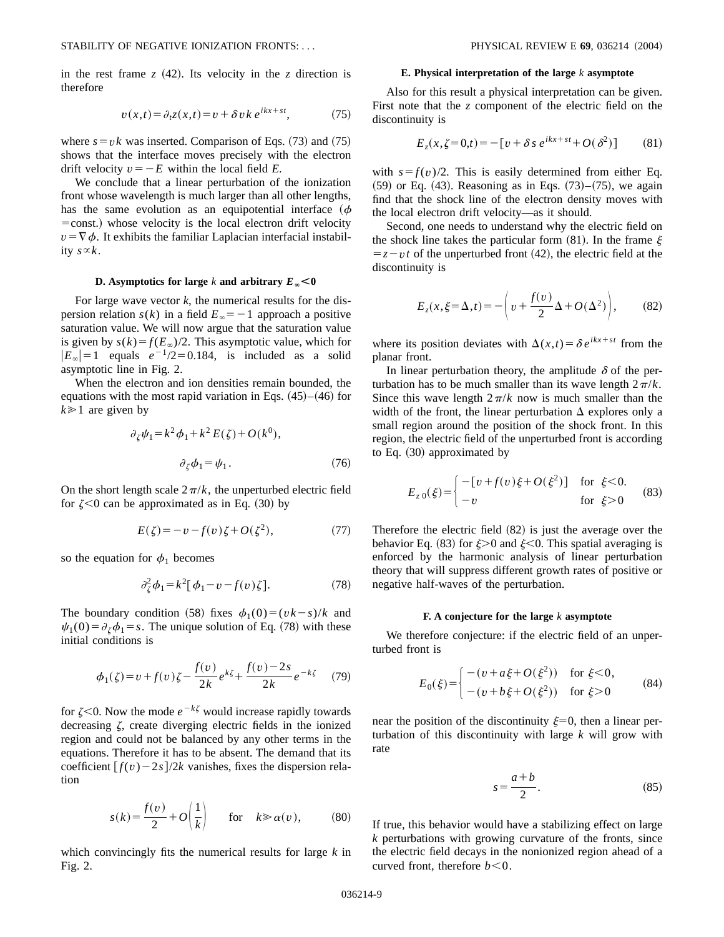in the rest frame  $z$  (42). Its velocity in the  $z$  direction is therefore

$$
v(x,t) = \partial_t z(x,t) = v + \delta v k \, e^{ikx + st},\tag{75}
$$

where  $s = v k$  was inserted. Comparison of Eqs. (73) and (75) shows that the interface moves precisely with the electron drift velocity  $v=-E$  within the local field *E*.

We conclude that a linear perturbation of the ionization front whose wavelength is much larger than all other lengths, has the same evolution as an equipotential interface  $(\phi$  $=$ const.) whose velocity is the local electron drift velocity  $v = \nabla \phi$ . It exhibits the familiar Laplacian interfacial instability  $s \propto k$ .

## **D. Asymptotics** for large *k* and arbitrary  $E_{\infty} < 0$

For large wave vector  $k$ , the numerical results for the dispersion relation  $s(k)$  in a field  $E_{\infty} = -1$  approach a positive saturation value. We will now argue that the saturation value is given by  $s(k) = f(E_\infty)/2$ . This asymptotic value, which for  $|E_{\infty}| = 1$  equals  $e^{-1/2} = 0.184$ , is included as a solid asymptotic line in Fig. 2.

When the electron and ion densities remain bounded, the equations with the most rapid variation in Eqs.  $(45)–(46)$  for  $k \geq 1$  are given by

$$
\partial_{\zeta}\psi_1 = k^2 \phi_1 + k^2 E(\zeta) + O(k^0),
$$
  

$$
\partial_{\zeta}\phi_1 = \psi_1.
$$
 (76)

On the short length scale  $2\pi/k$ , the unperturbed electric field for  $\zeta$ <0 can be approximated as in Eq. (30) by

$$
E(\zeta) = -v - f(v)\zeta + O(\zeta^2),\tag{77}
$$

so the equation for  $\phi_1$  becomes

$$
\partial_{\zeta}^2 \phi_1 = k^2 [\phi_1 - v - f(v)\zeta]. \tag{78}
$$

The boundary condition (58) fixes  $\phi_1(0) = (vk - s)/k$  and  $\psi_1(0) = \partial_{\zeta} \phi_1 = s$ . The unique solution of Eq. (78) with these initial conditions is

$$
\phi_1(\zeta) = v + f(v)\zeta - \frac{f(v)}{2k}e^{k\zeta} + \frac{f(v) - 2s}{2k}e^{-k\zeta} \tag{79}
$$

for  $\zeta$ <0. Now the mode  $e^{-k\zeta}$  would increase rapidly towards decreasing  $\zeta$ , create diverging electric fields in the ionized region and could not be balanced by any other terms in the equations. Therefore it has to be absent. The demand that its coefficient  $[f(v)-2s]/2k$  vanishes, fixes the dispersion relation

$$
s(k) = \frac{f(v)}{2} + O\left(\frac{1}{k}\right) \quad \text{for} \quad k \gg \alpha(v), \tag{80}
$$

which convincingly fits the numerical results for large *k* in Fig. 2.

### **E. Physical interpretation of the large** *k* **asymptote**

Also for this result a physical interpretation can be given. First note that the *z* component of the electric field on the discontinuity is

$$
E_z(x,\zeta = 0,t) = -[v + \delta s \, e^{ikx + st} + O(\delta^2)] \tag{81}
$$

with  $s = f(v)/2$ . This is easily determined from either Eq.  $(59)$  or Eq.  $(43)$ . Reasoning as in Eqs.  $(73)$ – $(75)$ , we again find that the shock line of the electron density moves with the local electron drift velocity—as it should.

Second, one needs to understand why the electric field on the shock line takes the particular form (81). In the frame  $\xi$  $= z - vt$  of the unperturbed front (42), the electric field at the discontinuity is

$$
E_z(x,\xi=\Delta,t) = -\left(v + \frac{f(v)}{2}\Delta + O(\Delta^2)\right),\tag{82}
$$

where its position deviates with  $\Delta(x,t) = \delta e^{ikx + st}$  from the planar front.

In linear perturbation theory, the amplitude  $\delta$  of the perturbation has to be much smaller than its wave length  $2\pi/k$ . Since this wave length  $2\pi/k$  now is much smaller than the width of the front, the linear perturbation  $\Delta$  explores only a small region around the position of the shock front. In this region, the electric field of the unperturbed front is according to Eq.  $(30)$  approximated by

$$
E_{z0}(\xi) = \begin{cases} -\left[v + f(v)\xi + O(\xi^2)\right] & \text{for } \xi < 0. \\ -v & \text{for } \xi > 0 \end{cases}
$$
 (83)

Therefore the electric field  $(82)$  is just the average over the behavior Eq. (83) for  $\xi>0$  and  $\xi<0$ . This spatial averaging is enforced by the harmonic analysis of linear perturbation theory that will suppress different growth rates of positive or negative half-waves of the perturbation.

#### **F. A conjecture for the large** *k* **asymptote**

We therefore conjecture: if the electric field of an unperturbed front is

$$
E_0(\xi) = \begin{cases} -(v + a\xi + O(\xi^2)) & \text{for } \xi < 0, \\ -(v + b\xi + O(\xi^2)) & \text{for } \xi > 0 \end{cases}
$$
 (84)

near the position of the discontinuity  $\xi=0$ , then a linear perturbation of this discontinuity with large *k* will grow with rate

$$
s = \frac{a+b}{2}.\tag{85}
$$

If true, this behavior would have a stabilizing effect on large *k* perturbations with growing curvature of the fronts, since the electric field decays in the nonionized region ahead of a curved front, therefore  $b < 0$ .